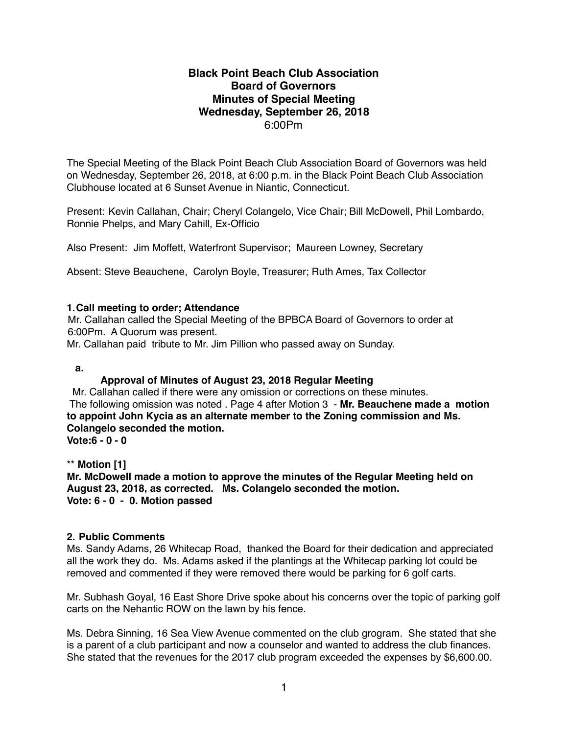# **Black Point Beach Club Association Board of Governors Minutes of Special Meeting Wednesday, September 26, 2018** 6:00Pm

The Special Meeting of the Black Point Beach Club Association Board of Governors was held on Wednesday, September 26, 2018, at 6:00 p.m. in the Black Point Beach Club Association Clubhouse located at 6 Sunset Avenue in Niantic, Connecticut.

Present: Kevin Callahan, Chair; Cheryl Colangelo, Vice Chair; Bill McDowell, Phil Lombardo, Ronnie Phelps, and Mary Cahill, Ex-Officio

Also Present: Jim Moffett, Waterfront Supervisor; Maureen Lowney, Secretary

Absent: Steve Beauchene, Carolyn Boyle, Treasurer; Ruth Ames, Tax Collector

#### **1.Call meeting to order; Attendance**

Mr. Callahan called the Special Meeting of the BPBCA Board of Governors to order at 6:00Pm. A Quorum was present.

Mr. Callahan paid tribute to Mr. Jim Pillion who passed away on Sunday.

**a.** 

### **Approval of Minutes of August 23, 2018 Regular Meeting**

 Mr. Callahan called if there were any omission or corrections on these minutes. The following omission was noted . Page 4 after Motion 3 - **Mr. Beauchene made a motion to appoint John Kycia as an alternate member to the Zoning commission and Ms. Colangelo seconded the motion.**

**Vote:6 - 0 - 0**

\*\* **Motion [1]**

**Mr. McDowell made a motion to approve the minutes of the Regular Meeting held on August 23, 2018, as corrected. Ms. Colangelo seconded the motion. Vote: 6 - 0 - 0. Motion passed**

### **2. Public Comments**

Ms. Sandy Adams, 26 Whitecap Road, thanked the Board for their dedication and appreciated all the work they do. Ms. Adams asked if the plantings at the Whitecap parking lot could be removed and commented if they were removed there would be parking for 6 golf carts.

Mr. Subhash Goyal, 16 East Shore Drive spoke about his concerns over the topic of parking golf carts on the Nehantic ROW on the lawn by his fence.

Ms. Debra Sinning, 16 Sea View Avenue commented on the club grogram. She stated that she is a parent of a club participant and now a counselor and wanted to address the club finances. She stated that the revenues for the 2017 club program exceeded the expenses by \$6,600.00.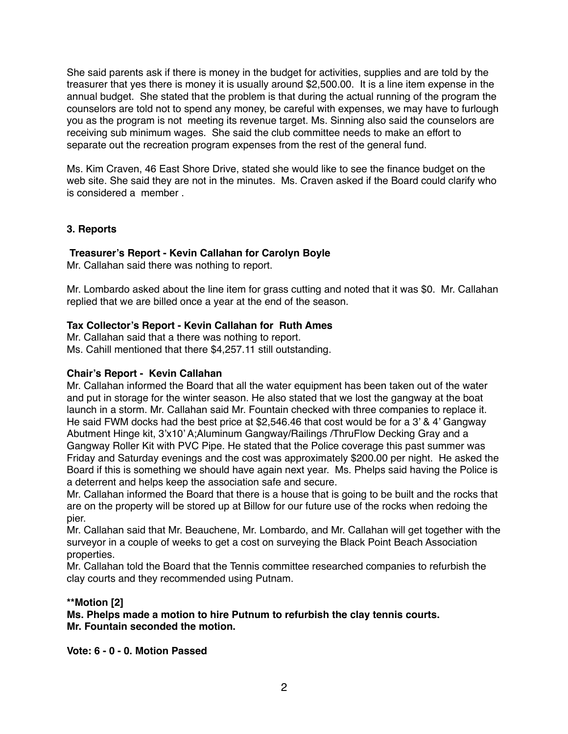She said parents ask if there is money in the budget for activities, supplies and are told by the treasurer that yes there is money it is usually around \$2,500.00. It is a line item expense in the annual budget. She stated that the problem is that during the actual running of the program the counselors are told not to spend any money, be careful with expenses, we may have to furlough you as the program is not meeting its revenue target. Ms. Sinning also said the counselors are receiving sub minimum wages. She said the club committee needs to make an effort to separate out the recreation program expenses from the rest of the general fund.

Ms. Kim Craven, 46 East Shore Drive, stated she would like to see the finance budget on the web site. She said they are not in the minutes. Ms. Craven asked if the Board could clarify who is considered a member .

## **3. Reports**

## **Treasurer's Report - Kevin Callahan for Carolyn Boyle**

Mr. Callahan said there was nothing to report.

Mr. Lombardo asked about the line item for grass cutting and noted that it was \$0. Mr. Callahan replied that we are billed once a year at the end of the season.

### **Tax Collector's Report - Kevin Callahan for Ruth Ames**

Mr. Callahan said that a there was nothing to report. Ms. Cahill mentioned that there \$4,257.11 still outstanding.

### **Chair's Report - Kevin Callahan**

Mr. Callahan informed the Board that all the water equipment has been taken out of the water and put in storage for the winter season. He also stated that we lost the gangway at the boat launch in a storm. Mr. Callahan said Mr. Fountain checked with three companies to replace it. He said FWM docks had the best price at \$2,546.46 that cost would be for a 3' & 4' Gangway Abutment Hinge kit, 3'x10' A;Aluminum Gangway/Railings /ThruFlow Decking Gray and a Gangway Roller Kit with PVC Pipe. He stated that the Police coverage this past summer was Friday and Saturday evenings and the cost was approximately \$200.00 per night. He asked the Board if this is something we should have again next year. Ms. Phelps said having the Police is a deterrent and helps keep the association safe and secure.

Mr. Callahan informed the Board that there is a house that is going to be built and the rocks that are on the property will be stored up at Billow for our future use of the rocks when redoing the pier.

Mr. Callahan said that Mr. Beauchene, Mr. Lombardo, and Mr. Callahan will get together with the surveyor in a couple of weeks to get a cost on surveying the Black Point Beach Association properties.

Mr. Callahan told the Board that the Tennis committee researched companies to refurbish the clay courts and they recommended using Putnam.

### **\*\*Motion [2]**

**Ms. Phelps made a motion to hire Putnum to refurbish the clay tennis courts. Mr. Fountain seconded the motion.**

**Vote: 6 - 0 - 0. Motion Passed**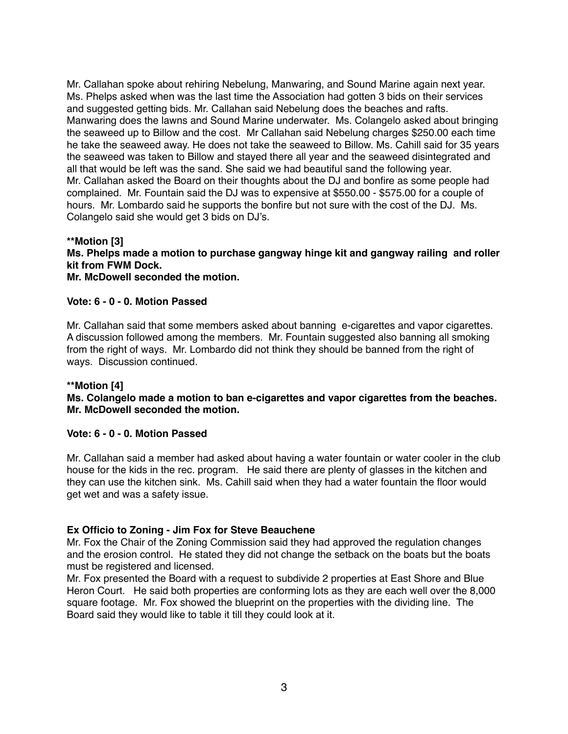Mr. Callahan spoke about rehiring Nebelung, Manwaring, and Sound Marine again next year. Ms. Phelps asked when was the last time the Association had gotten 3 bids on their services and suggested getting bids. Mr. Callahan said Nebelung does the beaches and rafts. Manwaring does the lawns and Sound Marine underwater. Ms. Colangelo asked about bringing the seaweed up to Billow and the cost. Mr Callahan said Nebelung charges \$250.00 each time he take the seaweed away. He does not take the seaweed to Billow. Ms. Cahill said for 35 years the seaweed was taken to Billow and stayed there all year and the seaweed disintegrated and all that would be left was the sand. She said we had beautiful sand the following year. Mr. Callahan asked the Board on their thoughts about the DJ and bonfire as some people had complained. Mr. Fountain said the DJ was to expensive at \$550.00 - \$575.00 for a couple of hours. Mr. Lombardo said he supports the bonfire but not sure with the cost of the DJ. Ms. Colangelo said she would get 3 bids on DJ's.

#### **\*\*Motion [3] Ms. Phelps made a motion to purchase gangway hinge kit and gangway railing and roller kit from FWM Dock. Mr. McDowell seconded the motion.**

### **Vote: 6 - 0 - 0. Motion Passed**

Mr. Callahan said that some members asked about banning e-cigarettes and vapor cigarettes. A discussion followed among the members. Mr. Fountain suggested also banning all smoking from the right of ways. Mr. Lombardo did not think they should be banned from the right of ways. Discussion continued.

### **\*\*Motion [4]**

### **Ms. Colangelo made a motion to ban e-cigarettes and vapor cigarettes from the beaches. Mr. McDowell seconded the motion.**

#### **Vote: 6 - 0 - 0. Motion Passed**

Mr. Callahan said a member had asked about having a water fountain or water cooler in the club house for the kids in the rec. program. He said there are plenty of glasses in the kitchen and they can use the kitchen sink. Ms. Cahill said when they had a water fountain the floor would get wet and was a safety issue.

### **Ex Officio to Zoning - Jim Fox for Steve Beauchene**

Mr. Fox the Chair of the Zoning Commission said they had approved the regulation changes and the erosion control. He stated they did not change the setback on the boats but the boats must be registered and licensed.

Mr. Fox presented the Board with a request to subdivide 2 properties at East Shore and Blue Heron Court. He said both properties are conforming lots as they are each well over the 8,000 square footage. Mr. Fox showed the blueprint on the properties with the dividing line. The Board said they would like to table it till they could look at it.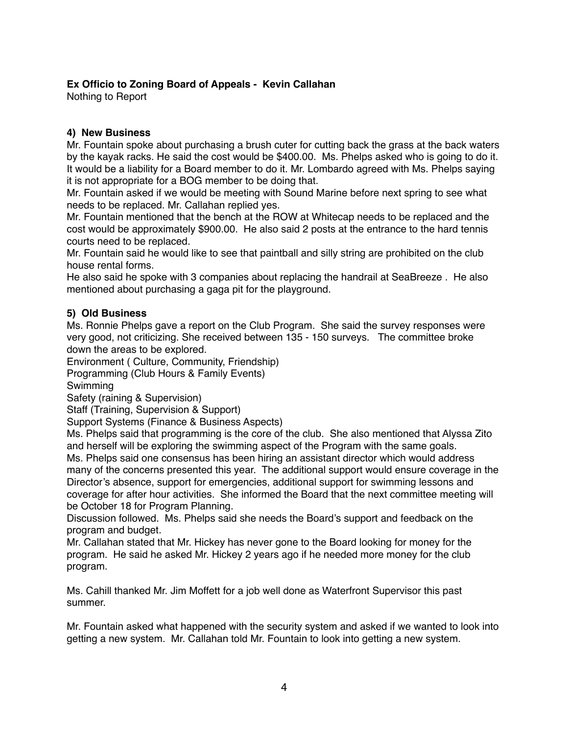# **Ex Officio to Zoning Board of Appeals - Kevin Callahan**

Nothing to Report

# **4) New Business**

Mr. Fountain spoke about purchasing a brush cuter for cutting back the grass at the back waters by the kayak racks. He said the cost would be \$400.00. Ms. Phelps asked who is going to do it. It would be a liability for a Board member to do it. Mr. Lombardo agreed with Ms. Phelps saying it is not appropriate for a BOG member to be doing that.

Mr. Fountain asked if we would be meeting with Sound Marine before next spring to see what needs to be replaced. Mr. Callahan replied yes.

Mr. Fountain mentioned that the bench at the ROW at Whitecap needs to be replaced and the cost would be approximately \$900.00. He also said 2 posts at the entrance to the hard tennis courts need to be replaced.

Mr. Fountain said he would like to see that paintball and silly string are prohibited on the club house rental forms.

He also said he spoke with 3 companies about replacing the handrail at SeaBreeze . He also mentioned about purchasing a gaga pit for the playground.

# **5) Old Business**

Ms. Ronnie Phelps gave a report on the Club Program. She said the survey responses were very good, not criticizing. She received between 135 - 150 surveys. The committee broke down the areas to be explored.

Environment ( Culture, Community, Friendship)

Programming (Club Hours & Family Events)

Swimming

Safety (raining & Supervision)

Staff (Training, Supervision & Support)

Support Systems (Finance & Business Aspects)

Ms. Phelps said that programming is the core of the club. She also mentioned that Alyssa Zito and herself will be exploring the swimming aspect of the Program with the same goals. Ms. Phelps said one consensus has been hiring an assistant director which would address many of the concerns presented this year. The additional support would ensure coverage in the Director's absence, support for emergencies, additional support for swimming lessons and coverage for after hour activities. She informed the Board that the next committee meeting will be October 18 for Program Planning.

Discussion followed. Ms. Phelps said she needs the Board's support and feedback on the program and budget.

Mr. Callahan stated that Mr. Hickey has never gone to the Board looking for money for the program. He said he asked Mr. Hickey 2 years ago if he needed more money for the club program.

Ms. Cahill thanked Mr. Jim Moffett for a job well done as Waterfront Supervisor this past summer.

Mr. Fountain asked what happened with the security system and asked if we wanted to look into getting a new system. Mr. Callahan told Mr. Fountain to look into getting a new system.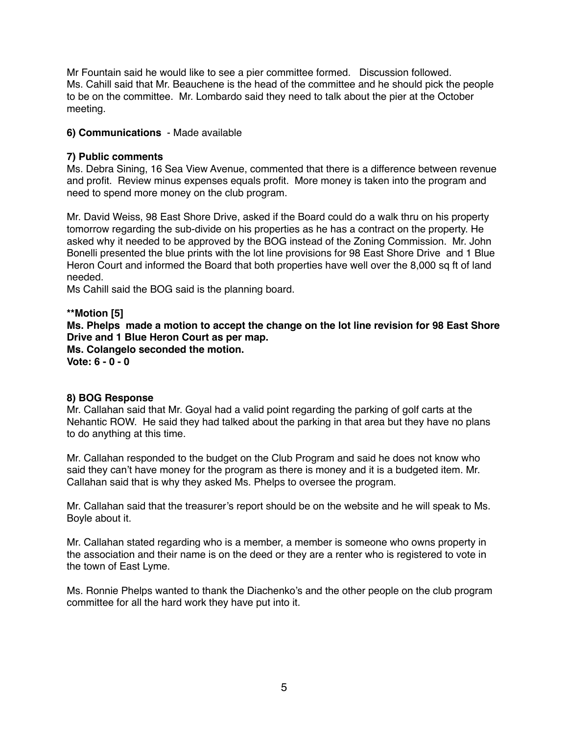Mr Fountain said he would like to see a pier committee formed. Discussion followed. Ms. Cahill said that Mr. Beauchene is the head of the committee and he should pick the people to be on the committee. Mr. Lombardo said they need to talk about the pier at the October meeting.

## **6) Communications** - Made available

### **7) Public comments**

Ms. Debra Sining, 16 Sea View Avenue, commented that there is a difference between revenue and profit. Review minus expenses equals profit. More money is taken into the program and need to spend more money on the club program.

Mr. David Weiss, 98 East Shore Drive, asked if the Board could do a walk thru on his property tomorrow regarding the sub-divide on his properties as he has a contract on the property. He asked why it needed to be approved by the BOG instead of the Zoning Commission. Mr. John Bonelli presented the blue prints with the lot line provisions for 98 East Shore Drive and 1 Blue Heron Court and informed the Board that both properties have well over the 8,000 sq ft of land needed.

Ms Cahill said the BOG said is the planning board.

**\*\*Motion [5] Ms. Phelps made a motion to accept the change on the lot line revision for 98 East Shore Drive and 1 Blue Heron Court as per map. Ms. Colangelo seconded the motion. Vote: 6 - 0 - 0**

### **8) BOG Response**

Mr. Callahan said that Mr. Goyal had a valid point regarding the parking of golf carts at the Nehantic ROW. He said they had talked about the parking in that area but they have no plans to do anything at this time.

Mr. Callahan responded to the budget on the Club Program and said he does not know who said they can't have money for the program as there is money and it is a budgeted item. Mr. Callahan said that is why they asked Ms. Phelps to oversee the program.

Mr. Callahan said that the treasurer's report should be on the website and he will speak to Ms. Boyle about it.

Mr. Callahan stated regarding who is a member, a member is someone who owns property in the association and their name is on the deed or they are a renter who is registered to vote in the town of East Lyme.

Ms. Ronnie Phelps wanted to thank the Diachenko's and the other people on the club program committee for all the hard work they have put into it.